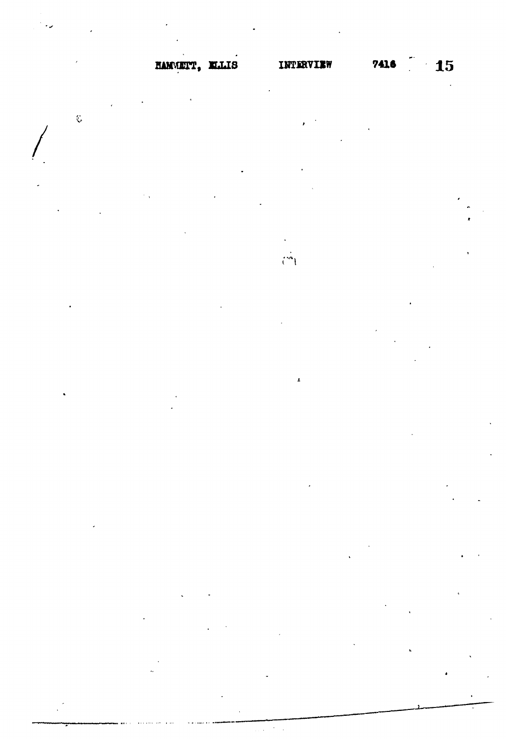$\hat{\chi}$ 

 $\mathfrak{f}^{\infty}$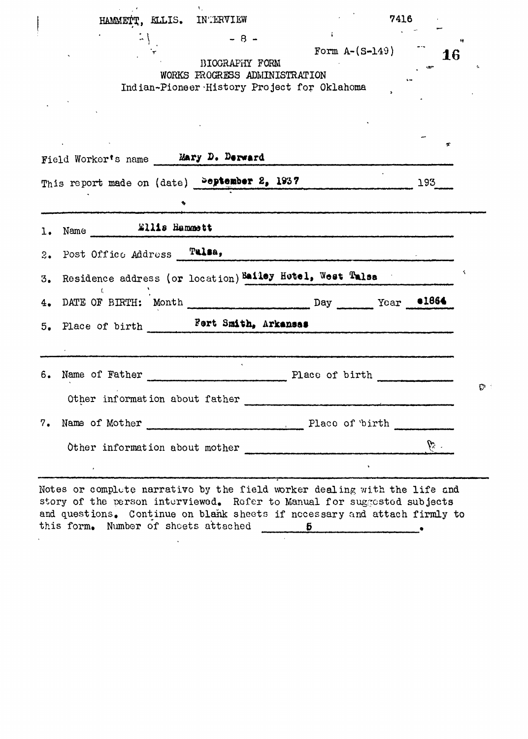|    | HAMMETT, ELLIS. INTERVIEW                                                                                                                                                                                                                                                   |                                                                                                                     |                  | 7416       |       |
|----|-----------------------------------------------------------------------------------------------------------------------------------------------------------------------------------------------------------------------------------------------------------------------------|---------------------------------------------------------------------------------------------------------------------|------------------|------------|-------|
|    | $\frac{1}{2}$                                                                                                                                                                                                                                                               | $-8 -$<br>BIOGRAPHY FORM<br>WORKS FROGRESS ADMINISTRATION                                                           | Form $A-(S-149)$ | <b>CEP</b> | 16    |
|    |                                                                                                                                                                                                                                                                             | Indian-Pioneer History Project for Oklahoma                                                                         |                  |            |       |
|    |                                                                                                                                                                                                                                                                             |                                                                                                                     |                  |            |       |
|    |                                                                                                                                                                                                                                                                             |                                                                                                                     |                  |            |       |
|    | Field Worker's name Mary D. Derward                                                                                                                                                                                                                                         |                                                                                                                     |                  |            | £.    |
|    | This report made on (date) September 2, 1937                                                                                                                                                                                                                                |                                                                                                                     |                  | 193        |       |
|    |                                                                                                                                                                                                                                                                             |                                                                                                                     |                  |            |       |
|    |                                                                                                                                                                                                                                                                             |                                                                                                                     |                  |            |       |
| 1. | Name Ellis Hammett                                                                                                                                                                                                                                                          |                                                                                                                     |                  |            |       |
| 2. | Post Office Address Tulsa,                                                                                                                                                                                                                                                  |                                                                                                                     |                  |            |       |
|    | 3. Residence address (or location) Eailey Hotel, West Talss                                                                                                                                                                                                                 |                                                                                                                     |                  |            | ۰,    |
| 4. | DATE OF BIRTH: Month Day Day Year \$1864                                                                                                                                                                                                                                    |                                                                                                                     |                  |            |       |
|    | 5. Place of birth Fort Smith, Arkansas                                                                                                                                                                                                                                      |                                                                                                                     |                  |            |       |
|    |                                                                                                                                                                                                                                                                             |                                                                                                                     |                  |            |       |
|    | 6. Name of Father                                                                                                                                                                                                                                                           | Place of birth                                                                                                      |                  |            |       |
|    | Other information about father                                                                                                                                                                                                                                              |                                                                                                                     |                  |            | v     |
|    |                                                                                                                                                                                                                                                                             |                                                                                                                     |                  |            |       |
|    | 7. Name of Mother Place of birth Place of the Manuscript of Mother                                                                                                                                                                                                          |                                                                                                                     |                  |            |       |
|    | Other information about mother                                                                                                                                                                                                                                              |                                                                                                                     |                  |            | $k^*$ |
|    |                                                                                                                                                                                                                                                                             | .<br>Angglis 1794 ikun fan De ynterkt alltaget yn mei tjen fyn mear it 'e ferfen ferstiet yn bestiet ferfen am y de |                  |            |       |
|    | Notes or complete narrative by the field worker dealing with the life and<br>story of the person interviewed. Refer to Manual for suggested subjects<br>and questions. Continue on blank sheets if necessary and attach firmly to<br>this form. Number of sheets attached 5 |                                                                                                                     |                  |            |       |

 $\frac{1}{2}$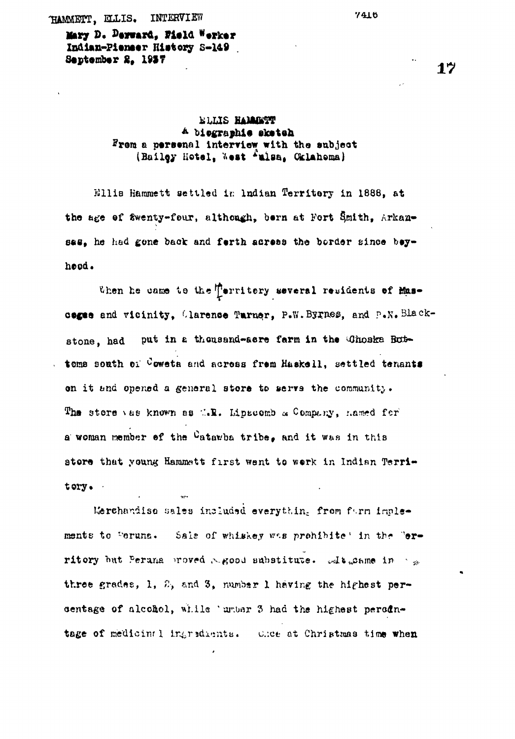### HAMMETT, ELLIS. INTERVIEW

Mary D. Derward, Field Werker Indian-Piemeer History S-149 September 2, 1937

> ELLIS HAMMETT A biegraphie sketch From a personal interview with the subject (Bailey Hotel, West Falsa, Oklahoma)

Ellis Hammett settled in Indian Territory in 1888, at the age of twenty-four, although, bern at Fort Smith, Arkansas, he had gone back and ferth acress the border since beyhosd.

When he came to the *perritory* several residents of Muscegee and vicinity, Clarence Turner, P.W. Byrnes, and P.N. Blackput in a thousand-asre farm in the Choska Botstone, had tems south of Coweta and acress frem Haskell, settled tenants on it and opened a general store to serve the community. The store vas known as t.R. Lipscomb  $\alpha$  Company, hamed for a woman member of the Catawba tribe, and it was in this store that young Hammett first went to werk in Indian Territory.

Merchandise sales included everything from farm implements to peruna. Sale of whiskey was prahibite' in the "erritory but Peruna proved a good substitute. At game in  $\gamma_{\mu}$ three grades, 1, 2, and 3, number 1 having the highest percentage of alcohol, while 'unbar 3 had the highest percentage of medicinal ingredients. Chee at Christmas time when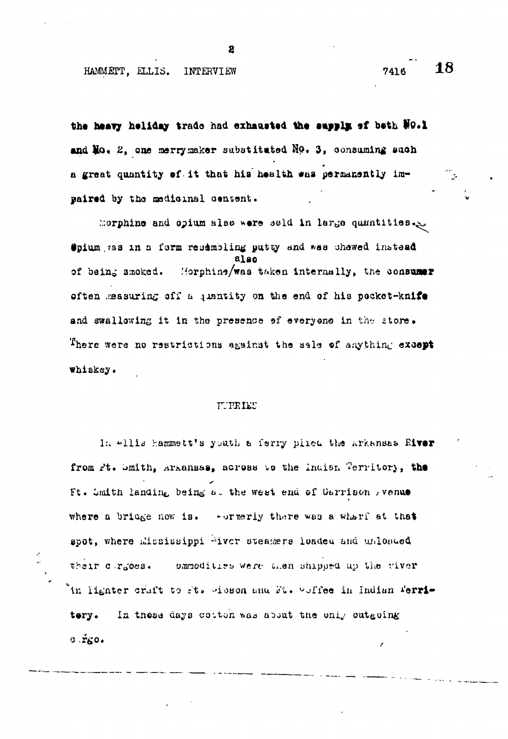#### HAMMETT, ELLIS. INTERVIEW

the heavy heliday trade had exhausted the supply of beth No.1 and No. 2, one merry maker substituted  $N\Omega$ . 3, consuming such a great quantity of it that his health was permanently impaired by the medicinal centent.

Morphine and opium also were sold in large quantities. Opium vas in a form resembling putty and was shewed instead  $B$  $1$  $B$  $A$ of being smoked. Horphine/was taken internally, the consumer often measuring off a quantity on the end of his pocket-knife and swallowing it in the presence of everyone in the store. There were no restrictions against the sale of anything except whiskey.

## **TURIES**

In wills hammett's youth a ferry pired the arkansas River from ft. bmith, Arkansas, acress to the Indian Territory, the Ft. Smith landing being at the west end of Carrison , venue where a bridge now is. - or merly there was a wharf at that spot, where Mississippi Aiver steamers leaded and unleaded their carges. ommodities were then shipped up the viver In lighter craft to st. wisson and Fi. Woffee in Indian ferritery. In these days cotton was about the only outgoing  $0.760.$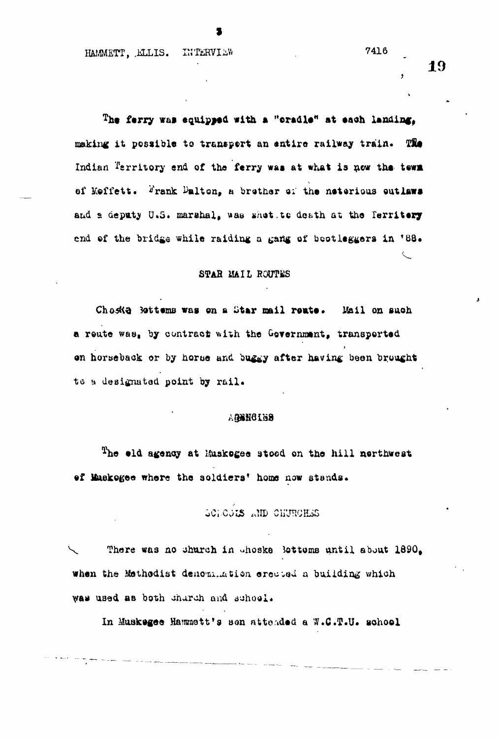<sup>T</sup>he ferry was equipped with a "oradle" at each landing, making it possible to transport an entire railway train. The Indian Territory end of the ferry was at what is now the tewn of Moffett. Frank Dalton, a brother ei the notorious outlaws **aud & deputy U.S. marshal, »as shat.te dc&th at tho Territory** end of the bridge while raiding a gang of beotleggers in '88.

**9**

## STAR MAIL ROUTES

Choska 3ottems was on a Star mail route. Mail on such **a reute was, by contract with the Government, transported** an horseback or by horse and buggy after having been brought to a designated point by rail.

### *REIBNOIES*

<sup>T</sup>he eld agency at Muskogee stood on the hill northwest of Muskegee where the soldiers' home now stands.

CI.COMS AND CHURCHES

There was no shurch in choske bottoms until about 1890, when the Methodist denomination erected a building which **used as both anarch and dJhoal\***

In Muskegee Hawnett's son attended a W.C.T.U. school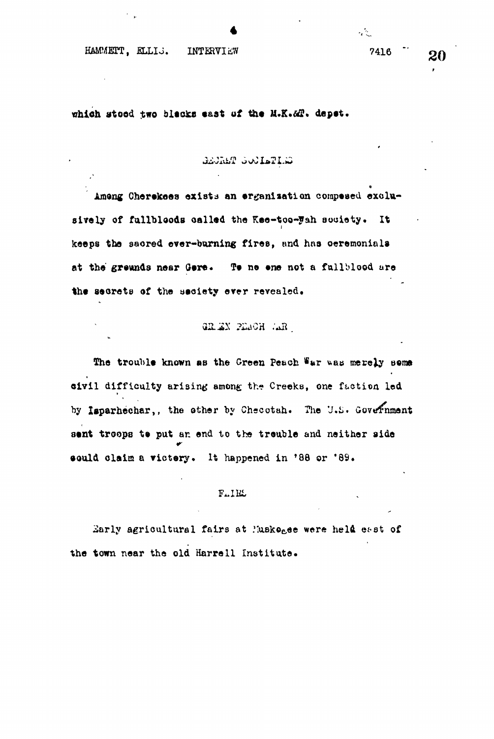$\mathbf{v} \in \mathbb{R}^{d}$ 

which stoed two blacks east of the M.K.&T. depet.

# GAIRET SUILTE

Ameng Cherekees exists an erganization compesed exclusively of fullbloods called the Kee-too-Wah society. It keeps the sacred ever-burning fires, and has ceremonials at the greunds near Gere. To no ene not a fullblood are the secrets of the seciety ever revealed.

# GREN PLACH AR

The trouble known as the Green Peach War was merely some civil difficulty arising among the Creeks, one faction led by Isparhechar,, the other by Checotah. The U.S. Government sent troops te put an end to the trouble and neither side sould claim a victery. It happened in '88 or '89.

### FLIEL

Early agricultural fairs at Muskogee were held east of the town near the old Harrell Institute.